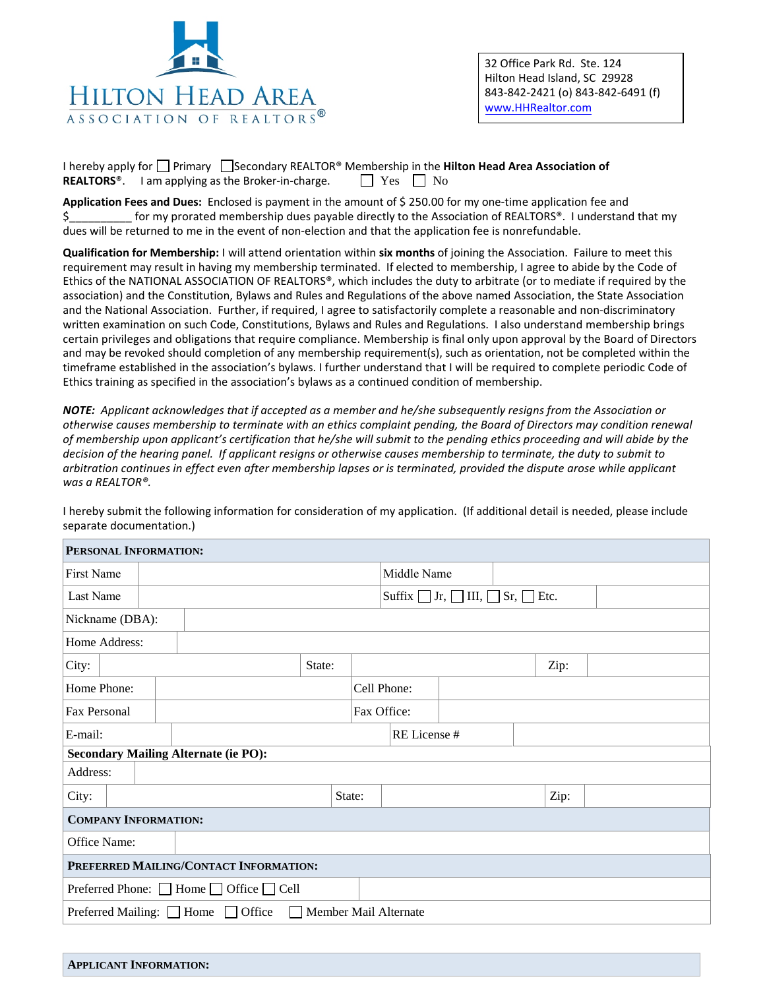

I hereby apply for  $\Box$  Primary  $\Box$  Secondary REALTOR<sup>®</sup> Membership in the **Hilton Head Area Association of**<br>**REALTORS**<sup>®</sup>. I am applying as the Broker-in-charge.  $\Box$  Yes  $\Box$  No **REALTORS**<sup>®</sup>. I am applying as the Broker-in-charge.

**Application Fees and Dues:** Enclosed is payment in the amount of \$ 250.00 for my one-time application fee and \$ for my prorated membership dues payable directly to the Association of REALTORS®. I understand that my dues will be returned to me in the event of non-election and that the application fee is nonrefundable.

**Qualification for Membership:** I will attend orientation within **six months** of joining the Association. Failure to meet this requirement may result in having my membership terminated. If elected to membership, I agree to abide by the Code of Ethics of the NATIONAL ASSOCIATION OF REALTORS®, which includes the duty to arbitrate (or to mediate if required by the association) and the Constitution, Bylaws and Rules and Regulations of the above named Association, the State Association and the National Association. Further, if required, I agree to satisfactorily complete a reasonable and non-discriminatory written examination on such Code, Constitutions, Bylaws and Rules and Regulations. I also understand membership brings certain privileges and obligations that require compliance. Membership is final only upon approval by the Board of Directors and may be revoked should completion of any membership requirement(s), such as orientation, not be completed within the timeframe established in the association's bylaws. I further understand that I will be required to complete periodic Code of Ethics training as specified in the association's bylaws as a continued condition of membership.

*NOTE: Applicant acknowledges that if accepted as a member and he/she subsequently resigns from the Association or otherwise causes membership to terminate with an ethics complaint pending, the Board of Directors may condition renewal of membership upon applicant's certification that he/she will submit to the pending ethics proceeding and will abide by the decision of the hearing panel. If applicant resigns or otherwise causes membership to terminate, the duty to submit to arbitration continues in effect even after membership lapses or is terminated, provided the dispute arose while applicant was a REALTOR®.* 

I hereby submit the following information for consideration of my application. (If additional detail is needed, please include separate documentation.)

| PERSONAL INFORMATION:                                                            |  |  |                                                      |             |              |  |  |      |  |
|----------------------------------------------------------------------------------|--|--|------------------------------------------------------|-------------|--------------|--|--|------|--|
| First Name                                                                       |  |  |                                                      | Middle Name |              |  |  |      |  |
| Last Name                                                                        |  |  | Suffix $\Box$ Jr, $\Box$ III, $\Box$ Sr, $\Box$ Etc. |             |              |  |  |      |  |
| Nickname (DBA):                                                                  |  |  |                                                      |             |              |  |  |      |  |
| Home Address:                                                                    |  |  |                                                      |             |              |  |  |      |  |
| City:                                                                            |  |  | State:                                               |             |              |  |  | Zip: |  |
| Home Phone:                                                                      |  |  |                                                      | Cell Phone: |              |  |  |      |  |
| Fax Personal                                                                     |  |  |                                                      |             | Fax Office:  |  |  |      |  |
| E-mail:                                                                          |  |  |                                                      |             | RE License # |  |  |      |  |
| <b>Secondary Mailing Alternate (ie PO):</b>                                      |  |  |                                                      |             |              |  |  |      |  |
| Address:                                                                         |  |  |                                                      |             |              |  |  |      |  |
| City:                                                                            |  |  |                                                      | State:      |              |  |  | Zip: |  |
| <b>COMPANY INFORMATION:</b>                                                      |  |  |                                                      |             |              |  |  |      |  |
| Office Name:                                                                     |  |  |                                                      |             |              |  |  |      |  |
| PREFERRED MAILING/CONTACT INFORMATION:                                           |  |  |                                                      |             |              |  |  |      |  |
| Preferred Phone: $\Box$ Home $\Box$ Office $\Box$ Cell                           |  |  |                                                      |             |              |  |  |      |  |
| Preferred Mailing: $\Box$ Home $\Box$ Office<br>Member Mail Alternate<br>$\perp$ |  |  |                                                      |             |              |  |  |      |  |

|  | <b>APPLICANT INFORMATION:</b> |  |
|--|-------------------------------|--|
|--|-------------------------------|--|